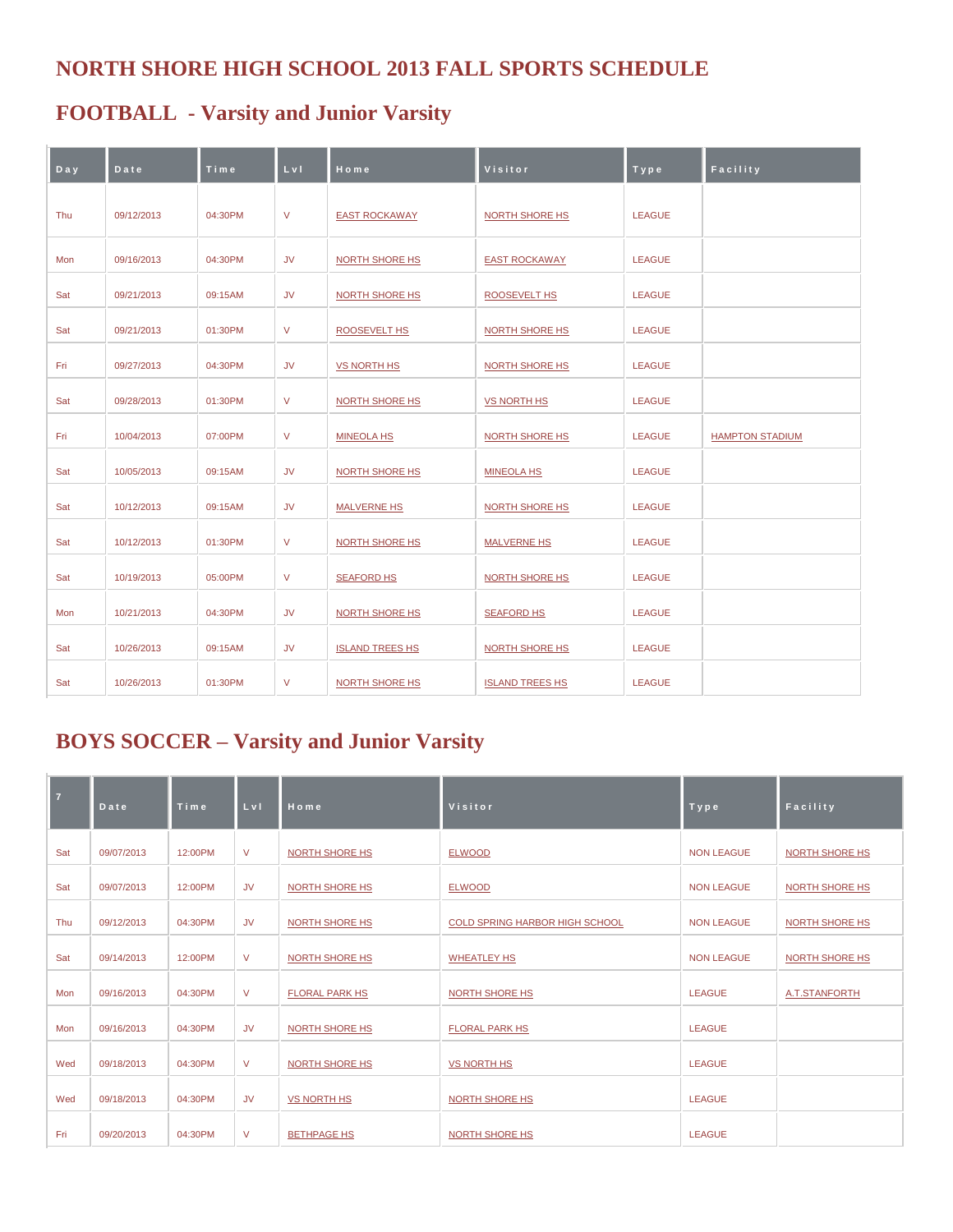## **NORTH SHORE HIGH SCHOOL 2013 FALL SPORTS SCHEDULE**

#### **FOOTBALL - Varsity and Junior Varsity**

| Day | Date       | Time    | LvI              | Home                   | Visitor                | Type          | Facility               |
|-----|------------|---------|------------------|------------------------|------------------------|---------------|------------------------|
| Thu | 09/12/2013 | 04:30PM | $\vee$           | <b>EAST ROCKAWAY</b>   | <b>NORTH SHORE HS</b>  | <b>LEAGUE</b> |                        |
| Mon | 09/16/2013 | 04:30PM | <b>JV</b>        | <b>NORTH SHORE HS</b>  | <b>EAST ROCKAWAY</b>   | <b>LEAGUE</b> |                        |
| Sat | 09/21/2013 | 09:15AM | <b>JV</b>        | <b>NORTH SHORE HS</b>  | <b>ROOSEVELT HS</b>    | <b>LEAGUE</b> |                        |
| Sat | 09/21/2013 | 01:30PM | $\vee$           | <b>ROOSEVELT HS</b>    | <b>NORTH SHORE HS</b>  | <b>LEAGUE</b> |                        |
| Fri | 09/27/2013 | 04:30PM | ${\sf J}{\sf V}$ | <b>VS NORTH HS</b>     | <b>NORTH SHORE HS</b>  | <b>LEAGUE</b> |                        |
| Sat | 09/28/2013 | 01:30PM | $\mathsf{V}$     | <b>NORTH SHORE HS</b>  | <b>VS NORTH HS</b>     | <b>LEAGUE</b> |                        |
| Fri | 10/04/2013 | 07:00PM | $\vee$           | <b>MINEOLA HS</b>      | <b>NORTH SHORE HS</b>  | <b>LEAGUE</b> | <b>HAMPTON STADIUM</b> |
| Sat | 10/05/2013 | 09:15AM | <b>JV</b>        | <b>NORTH SHORE HS</b>  | <b>MINEOLA HS</b>      | <b>LEAGUE</b> |                        |
| Sat | 10/12/2013 | 09:15AM | <b>JV</b>        | <b>MALVERNE HS</b>     | <b>NORTH SHORE HS</b>  | <b>LEAGUE</b> |                        |
| Sat | 10/12/2013 | 01:30PM | V                | <b>NORTH SHORE HS</b>  | <b>MALVERNE HS</b>     | <b>LEAGUE</b> |                        |
| Sat | 10/19/2013 | 05:00PM | $\mathsf{V}$     | <b>SEAFORD HS</b>      | <b>NORTH SHORE HS</b>  | <b>LEAGUE</b> |                        |
| Mon | 10/21/2013 | 04:30PM | <b>JV</b>        | <b>NORTH SHORE HS</b>  | <b>SEAFORD HS</b>      | <b>LEAGUE</b> |                        |
| Sat | 10/26/2013 | 09:15AM | <b>JV</b>        | <b>ISLAND TREES HS</b> | <b>NORTH SHORE HS</b>  | <b>LEAGUE</b> |                        |
| Sat | 10/26/2013 | 01:30PM | $\vee$           | <b>NORTH SHORE HS</b>  | <b>ISLAND TREES HS</b> | <b>LEAGUE</b> |                        |

#### **BOYS SOCCER – Varsity and Junior Varsity**

| $\overline{7}$ | Date       | Time    | LvI       | Home                  | Visitor                        | Type              | Facility              |
|----------------|------------|---------|-----------|-----------------------|--------------------------------|-------------------|-----------------------|
| Sat            | 09/07/2013 | 12:00PM | $\vee$    | <b>NORTH SHORE HS</b> | <b>ELWOOD</b>                  | <b>NON LEAGUE</b> | <b>NORTH SHORE HS</b> |
| Sat            | 09/07/2013 | 12:00PM | <b>JV</b> | <b>NORTH SHORE HS</b> | <b>ELWOOD</b>                  | <b>NON LEAGUE</b> | <b>NORTH SHORE HS</b> |
| Thu            | 09/12/2013 | 04:30PM | <b>JV</b> | <b>NORTH SHORE HS</b> | COLD SPRING HARBOR HIGH SCHOOL | <b>NON LEAGUE</b> | <b>NORTH SHORE HS</b> |
| Sat            | 09/14/2013 | 12:00PM | $\vee$    | NORTH SHORE HS        | <b>WHEATLEY HS</b>             | <b>NON LEAGUE</b> | NORTH SHORE HS        |
| Mon            | 09/16/2013 | 04:30PM | $\vee$    | <b>FLORAL PARK HS</b> | <b>NORTH SHORE HS</b>          | <b>LEAGUE</b>     | <b>A.T.STANFORTH</b>  |
| Mon            | 09/16/2013 | 04:30PM | <b>JV</b> | NORTH SHORE HS        | <b>FLORAL PARK HS</b>          | <b>LEAGUE</b>     |                       |
| Wed            | 09/18/2013 | 04:30PM | $\vee$    | <b>NORTH SHORE HS</b> | <b>VS NORTH HS</b>             | <b>LEAGUE</b>     |                       |
| Wed            | 09/18/2013 | 04:30PM | <b>JV</b> | <b>VS NORTH HS</b>    | <b>NORTH SHORE HS</b>          | <b>LEAGUE</b>     |                       |
| Fri            | 09/20/2013 | 04:30PM | $\vee$    | <b>BETHPAGE HS</b>    | NORTH SHORE HS                 | <b>LEAGUE</b>     |                       |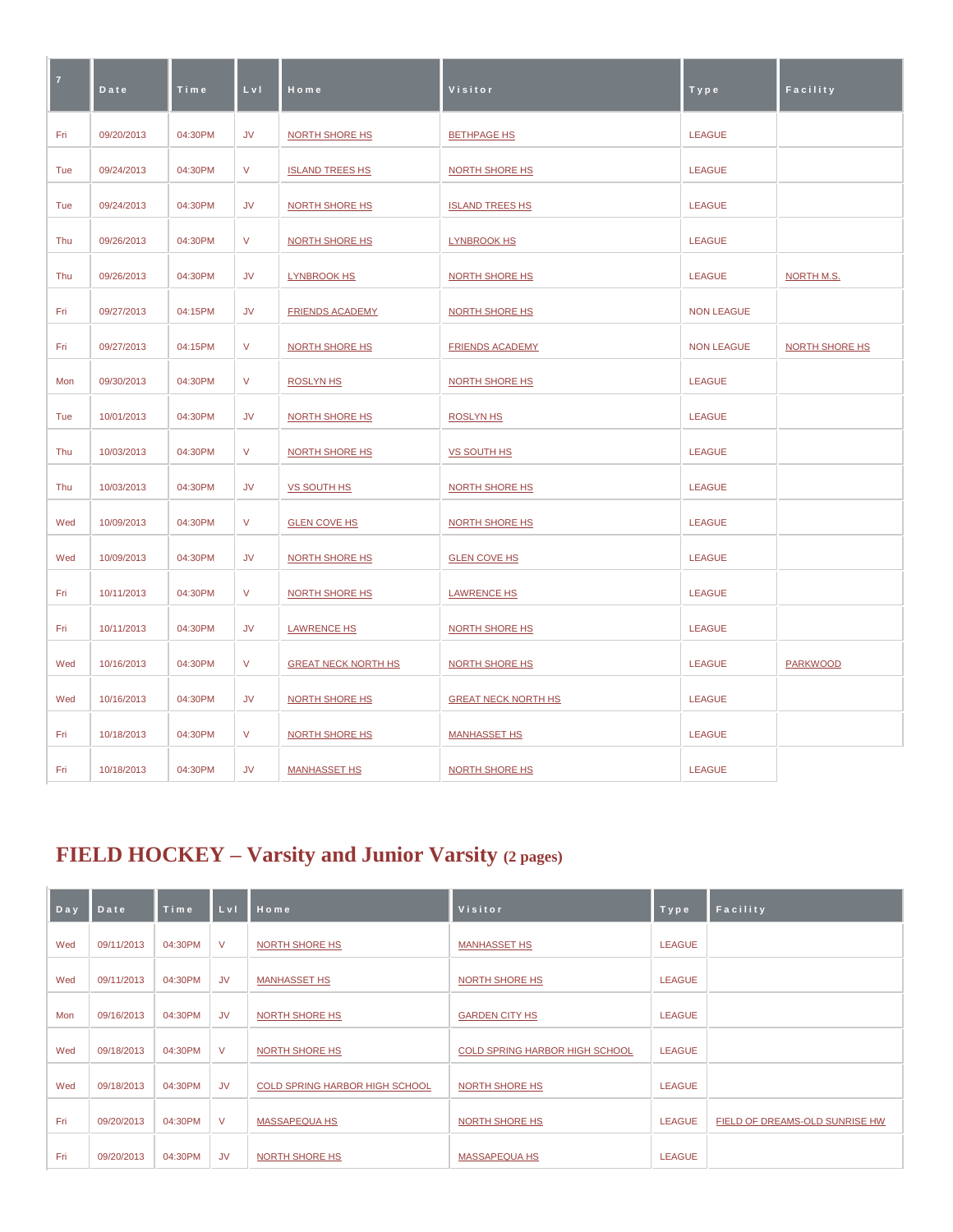| $\overline{7}$ | Date       | Time    | LvI.             | Home                       | Visitor                    | Type              | Facility              |
|----------------|------------|---------|------------------|----------------------------|----------------------------|-------------------|-----------------------|
| Fri            | 09/20/2013 | 04:30PM | JV               | <b>NORTH SHORE HS</b>      | <b>BETHPAGE HS</b>         | <b>LEAGUE</b>     |                       |
| Tue            | 09/24/2013 | 04:30PM | V                | <b>ISLAND TREES HS</b>     | <b>NORTH SHORE HS</b>      | <b>LEAGUE</b>     |                       |
| Tue            | 09/24/2013 | 04:30PM | JV               | <b>NORTH SHORE HS</b>      | <b>ISLAND TREES HS</b>     | <b>LEAGUE</b>     |                       |
| Thu            | 09/26/2013 | 04:30PM | $\vee$           | <b>NORTH SHORE HS</b>      | <b>LYNBROOK HS</b>         | <b>LEAGUE</b>     |                       |
| Thu            | 09/26/2013 | 04:30PM | ${\sf J}{\sf V}$ | <b>LYNBROOK HS</b>         | <b>NORTH SHORE HS</b>      | <b>LEAGUE</b>     | <b>NORTH M.S.</b>     |
| Fri            | 09/27/2013 | 04:15PM | JV               | <b>FRIENDS ACADEMY</b>     | <b>NORTH SHORE HS</b>      | <b>NON LEAGUE</b> |                       |
| Fri            | 09/27/2013 | 04:15PM | V                | <b>NORTH SHORE HS</b>      | <b>FRIENDS ACADEMY</b>     | <b>NON LEAGUE</b> | <b>NORTH SHORE HS</b> |
| Mon            | 09/30/2013 | 04:30PM | $\mathsf{V}$     | <b>ROSLYN HS</b>           | <b>NORTH SHORE HS</b>      | <b>LEAGUE</b>     |                       |
| Tue            | 10/01/2013 | 04:30PM | JV               | <b>NORTH SHORE HS</b>      | <b>ROSLYN HS</b>           | <b>LEAGUE</b>     |                       |
| Thu            | 10/03/2013 | 04:30PM | $\mathsf{V}$     | <b>NORTH SHORE HS</b>      | <b>VS SOUTH HS</b>         | <b>LEAGUE</b>     |                       |
| Thu            | 10/03/2013 | 04:30PM | ${\sf J}{\sf V}$ | <b>VS SOUTH HS</b>         | <b>NORTH SHORE HS</b>      | <b>LEAGUE</b>     |                       |
| Wed            | 10/09/2013 | 04:30PM | V                | <b>GLEN COVE HS</b>        | <b>NORTH SHORE HS</b>      | <b>LEAGUE</b>     |                       |
| Wed            | 10/09/2013 | 04:30PM | JV               | <b>NORTH SHORE HS</b>      | <b>GLEN COVE HS</b>        | <b>LEAGUE</b>     |                       |
| Fri            | 10/11/2013 | 04:30PM | V                | <b>NORTH SHORE HS</b>      | <b>LAWRENCE HS</b>         | <b>LEAGUE</b>     |                       |
| Fri            | 10/11/2013 | 04:30PM | JV               | <b>LAWRENCE HS</b>         | <b>NORTH SHORE HS</b>      | <b>LEAGUE</b>     |                       |
| Wed            | 10/16/2013 | 04:30PM | $\mathsf{V}$     | <b>GREAT NECK NORTH HS</b> | <b>NORTH SHORE HS</b>      | <b>LEAGUE</b>     | <b>PARKWOOD</b>       |
| Wed            | 10/16/2013 | 04:30PM | JV               | <b>NORTH SHORE HS</b>      | <b>GREAT NECK NORTH HS</b> | <b>LEAGUE</b>     |                       |
| Fri            | 10/18/2013 | 04:30PM | V                | <b>NORTH SHORE HS</b>      | <b>MANHASSET HS</b>        | <b>LEAGUE</b>     |                       |
| Fri            | 10/18/2013 | 04:30PM | JV               | <b>MANHASSET HS</b>        | <b>NORTH SHORE HS</b>      | <b>LEAGUE</b>     |                       |

## **FIELD HOCKEY – Varsity and Junior Varsity (2 pages)**

| Day | Date       | Time    | LvI       | Home                                  | Visitor                        | Type          | Facility                       |
|-----|------------|---------|-----------|---------------------------------------|--------------------------------|---------------|--------------------------------|
| Wed | 09/11/2013 | 04:30PM | V         | <b>NORTH SHORE HS</b>                 | <b>MANHASSET HS</b>            | <b>LEAGUE</b> |                                |
| Wed | 09/11/2013 | 04:30PM | <b>JV</b> | <b>MANHASSET HS</b>                   | NORTH SHORE HS                 | <b>LEAGUE</b> |                                |
| Mon | 09/16/2013 | 04:30PM | <b>JV</b> | NORTH SHORE HS                        | <b>GARDEN CITY HS</b>          | <b>LEAGUE</b> |                                |
| Wed | 09/18/2013 | 04:30PM | $\vee$    | NORTH SHORE HS                        | COLD SPRING HARBOR HIGH SCHOOL | <b>LEAGUE</b> |                                |
| Wed | 09/18/2013 | 04:30PM | <b>JV</b> | <b>COLD SPRING HARBOR HIGH SCHOOL</b> | <b>NORTH SHORE HS</b>          | <b>LEAGUE</b> |                                |
| Fri | 09/20/2013 | 04:30PM | $\vee$    | <b>MASSAPEQUA HS</b>                  | <b>NORTH SHORE HS</b>          | <b>LEAGUE</b> | FIELD OF DREAMS-OLD SUNRISE HW |
| Fri | 09/20/2013 | 04:30PM | <b>JV</b> | NORTH SHORE HS                        | <b>MASSAPEQUA HS</b>           | <b>LEAGUE</b> |                                |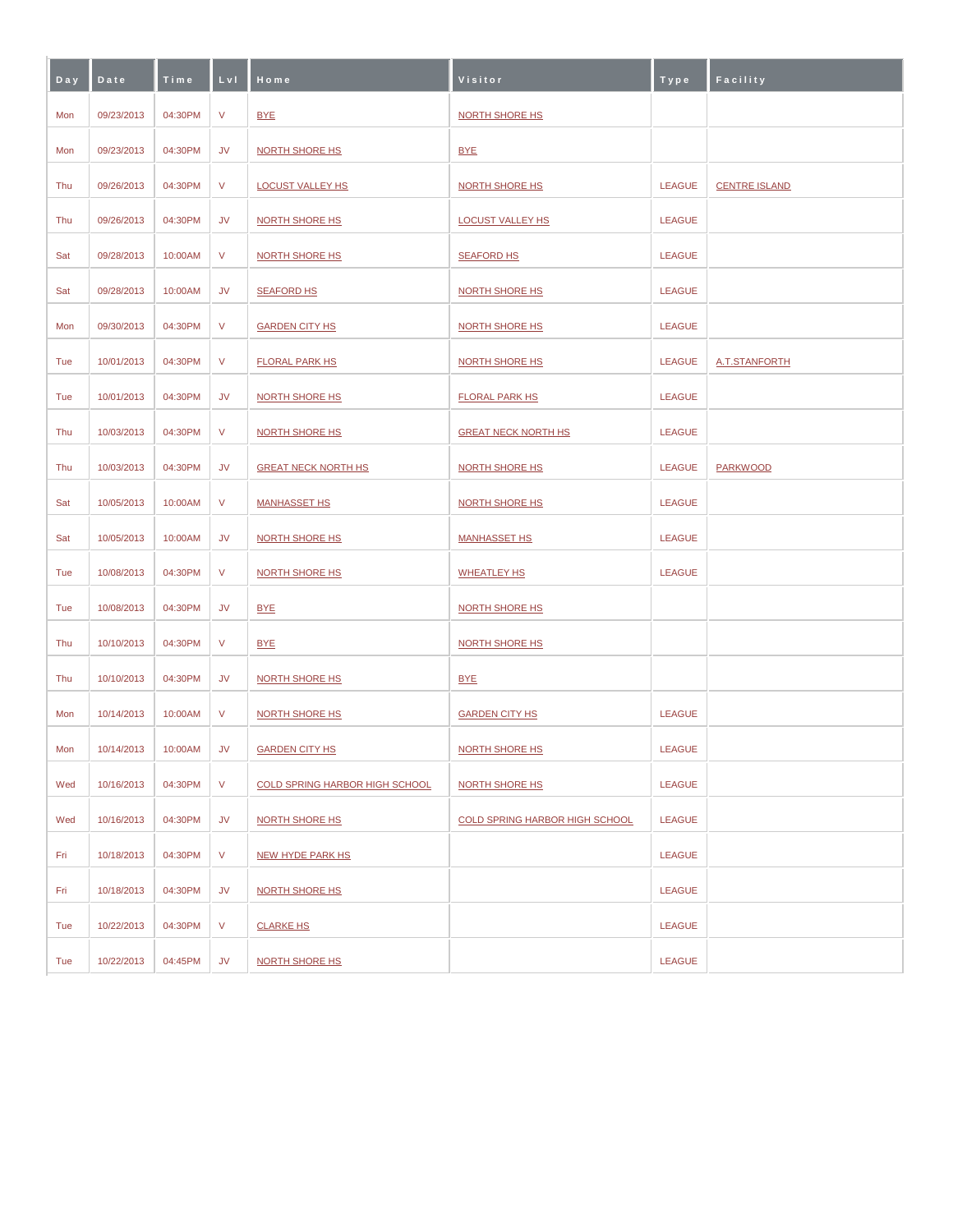| Day | Date       | Time    | LvI          | Home                                  | Visitor                        | Type          | Facility             |
|-----|------------|---------|--------------|---------------------------------------|--------------------------------|---------------|----------------------|
| Mon | 09/23/2013 | 04:30PM | V            | <b>BYE</b>                            | <b>NORTH SHORE HS</b>          |               |                      |
| Mon | 09/23/2013 | 04:30PM | JV           | <b>NORTH SHORE HS</b>                 | <b>BYE</b>                     |               |                      |
| Thu | 09/26/2013 | 04:30PM | V            | <b>LOCUST VALLEY HS</b>               | <b>NORTH SHORE HS</b>          | <b>LEAGUE</b> | <b>CENTRE ISLAND</b> |
| Thu | 09/26/2013 | 04:30PM | <b>JV</b>    | <b>NORTH SHORE HS</b>                 | <b>LOCUST VALLEY HS</b>        | <b>LEAGUE</b> |                      |
| Sat | 09/28/2013 | 10:00AM | $\mathsf{V}$ | <b>NORTH SHORE HS</b>                 | <b>SEAFORD HS</b>              | <b>LEAGUE</b> |                      |
| Sat | 09/28/2013 | 10:00AM | JV           | <b>SEAFORD HS</b>                     | <b>NORTH SHORE HS</b>          | <b>LEAGUE</b> |                      |
| Mon | 09/30/2013 | 04:30PM | $\vee$       | <b>GARDEN CITY HS</b>                 | <b>NORTH SHORE HS</b>          | <b>LEAGUE</b> |                      |
| Tue | 10/01/2013 | 04:30PM | V            | <b>FLORAL PARK HS</b>                 | <b>NORTH SHORE HS</b>          | <b>LEAGUE</b> | A.T.STANFORTH        |
| Tue | 10/01/2013 | 04:30PM | JV           | <b>NORTH SHORE HS</b>                 | <b>FLORAL PARK HS</b>          | <b>LEAGUE</b> |                      |
| Thu | 10/03/2013 | 04:30PM | V            | <b>NORTH SHORE HS</b>                 | <b>GREAT NECK NORTH HS</b>     | <b>LEAGUE</b> |                      |
| Thu | 10/03/2013 | 04:30PM | JV           | <b>GREAT NECK NORTH HS</b>            | <b>NORTH SHORE HS</b>          | <b>LEAGUE</b> | <b>PARKWOOD</b>      |
| Sat | 10/05/2013 | 10:00AM | V            | <b>MANHASSET HS</b>                   | <b>NORTH SHORE HS</b>          | <b>LEAGUE</b> |                      |
| Sat | 10/05/2013 | 10:00AM | <b>JV</b>    | <b>NORTH SHORE HS</b>                 | <b>MANHASSET HS</b>            | <b>LEAGUE</b> |                      |
| Tue | 10/08/2013 | 04:30PM | V            | <b>NORTH SHORE HS</b>                 | <b>WHEATLEY HS</b>             | <b>LEAGUE</b> |                      |
| Tue | 10/08/2013 | 04:30PM | JV           | <b>BYE</b>                            | <b>NORTH SHORE HS</b>          |               |                      |
| Thu | 10/10/2013 | 04:30PM | $\mathsf{V}$ | <b>BYE</b>                            | <b>NORTH SHORE HS</b>          |               |                      |
| Thu | 10/10/2013 | 04:30PM | JV           | <b>NORTH SHORE HS</b>                 | <b>BYE</b>                     |               |                      |
| Mon | 10/14/2013 | 10:00AM | V            | <b>NORTH SHORE HS</b>                 | <b>GARDEN CITY HS</b>          | <b>LEAGUE</b> |                      |
| Mon | 10/14/2013 | 10:00AM | JV           | <b>GARDEN CITY HS</b>                 | NORTH SHORE HS                 | <b>LEAGUE</b> |                      |
| Wed | 10/16/2013 | 04:30PM | V            | <b>COLD SPRING HARBOR HIGH SCHOOL</b> | <b>NORTH SHORE HS</b>          | <b>LEAGUE</b> |                      |
| Wed | 10/16/2013 | 04:30PM | <b>JV</b>    | NORTH SHORE HS                        | COLD SPRING HARBOR HIGH SCHOOL | <b>LEAGUE</b> |                      |
| Fri | 10/18/2013 | 04:30PM | V            | <b>NEW HYDE PARK HS</b>               |                                | <b>LEAGUE</b> |                      |
| Fri | 10/18/2013 | 04:30PM | <b>JV</b>    | <b>NORTH SHORE HS</b>                 |                                | <b>LEAGUE</b> |                      |
| Tue | 10/22/2013 | 04:30PM | $\vee$       | <b>CLARKE HS</b>                      |                                | <b>LEAGUE</b> |                      |
| Tue | 10/22/2013 | 04:45PM | <b>JV</b>    | <b>NORTH SHORE HS</b>                 |                                | <b>LEAGUE</b> |                      |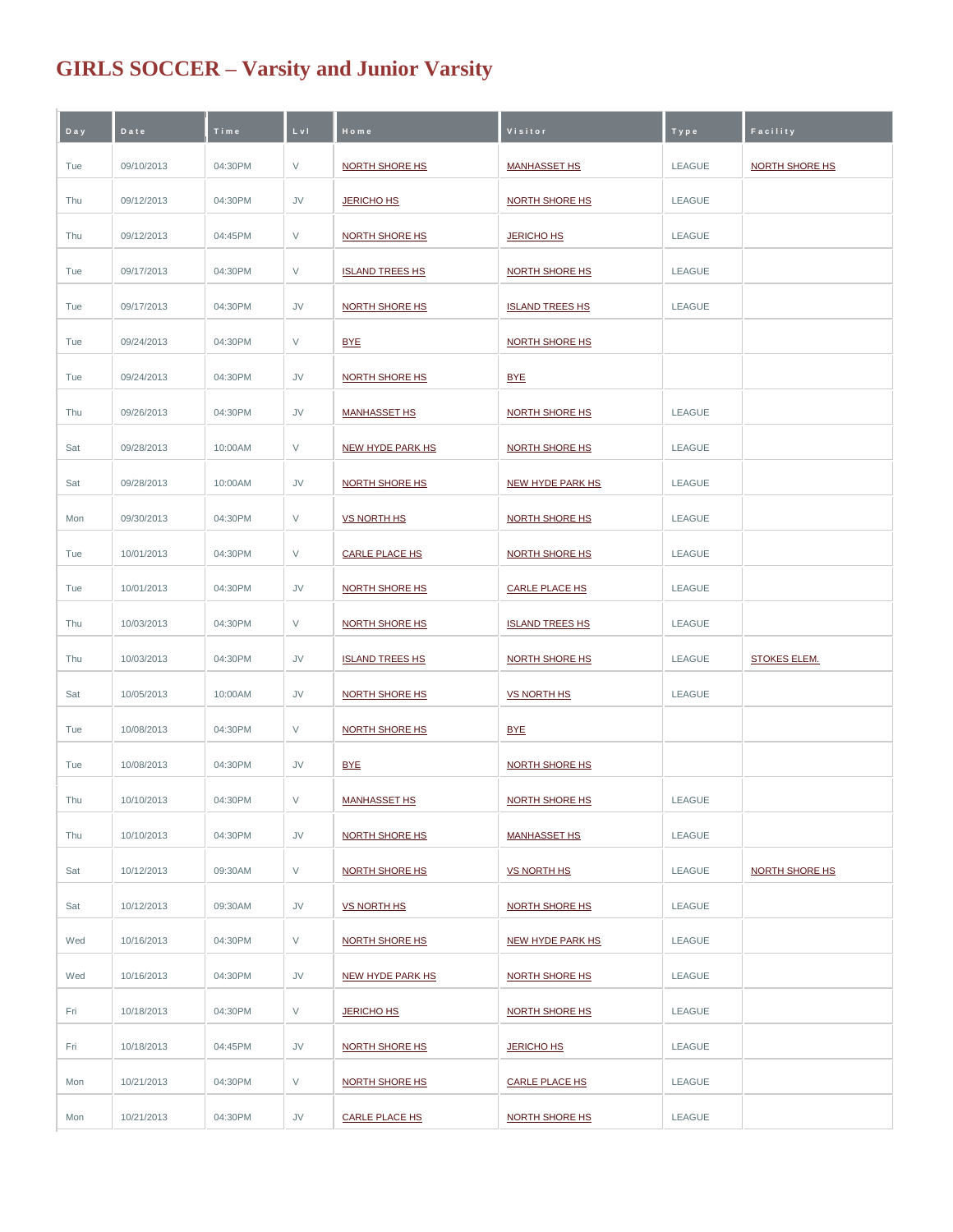## **GIRLS SOCCER – Varsity and Junior Varsity**

| Day | Date       | Time    | L v I  | Home                    | Visitor                 | Type          | Facility              |
|-----|------------|---------|--------|-------------------------|-------------------------|---------------|-----------------------|
| Tue | 09/10/2013 | 04:30PM | V      | <b>NORTH SHORE HS</b>   | <b>MANHASSET HS</b>     | <b>LEAGUE</b> | <b>NORTH SHORE HS</b> |
| Thu | 09/12/2013 | 04:30PM | JV     | <b>JERICHO HS</b>       | NORTH SHORE HS          | LEAGUE        |                       |
| Thu | 09/12/2013 | 04:45PM | V      | <b>NORTH SHORE HS</b>   | <b>JERICHO HS</b>       | LEAGUE        |                       |
| Tue | 09/17/2013 | 04:30PM | $\vee$ | <b>ISLAND TREES HS</b>  | <b>NORTH SHORE HS</b>   | LEAGUE        |                       |
| Tue | 09/17/2013 | 04:30PM | JV     | <b>NORTH SHORE HS</b>   | <b>ISLAND TREES HS</b>  | LEAGUE        |                       |
| Tue | 09/24/2013 | 04:30PM | V      | <b>BYE</b>              | <b>NORTH SHORE HS</b>   |               |                       |
| Tue | 09/24/2013 | 04:30PM | JV     | <b>NORTH SHORE HS</b>   | <b>BYE</b>              |               |                       |
|     |            |         |        |                         |                         |               |                       |
| Thu | 09/26/2013 | 04:30PM | JV     | <b>MANHASSET HS</b>     | NORTH SHORE HS          | <b>LEAGUE</b> |                       |
| Sat | 09/28/2013 | 10:00AM | V      | NEW HYDE PARK HS        | <b>NORTH SHORE HS</b>   | LEAGUE        |                       |
| Sat | 09/28/2013 | 10:00AM | JV     | <b>NORTH SHORE HS</b>   | <b>NEW HYDE PARK HS</b> | <b>LEAGUE</b> |                       |
| Mon | 09/30/2013 | 04:30PM | $\vee$ | <b>VS NORTH HS</b>      | <b>NORTH SHORE HS</b>   | <b>LEAGUE</b> |                       |
| Tue | 10/01/2013 | 04:30PM | V      | <b>CARLE PLACE HS</b>   | <b>NORTH SHORE HS</b>   | LEAGUE        |                       |
| Tue | 10/01/2013 | 04:30PM | JV     | <b>NORTH SHORE HS</b>   | <b>CARLE PLACE HS</b>   | LEAGUE        |                       |
| Thu | 10/03/2013 | 04:30PM | V      | <b>NORTH SHORE HS</b>   | <b>ISLAND TREES HS</b>  | LEAGUE        |                       |
| Thu | 10/03/2013 | 04:30PM | JV     | <b>ISLAND TREES HS</b>  | <b>NORTH SHORE HS</b>   | LEAGUE        | <b>STOKES ELEM.</b>   |
| Sat | 10/05/2013 | 10:00AM | JV     | <b>NORTH SHORE HS</b>   | <b>VS NORTH HS</b>      | LEAGUE        |                       |
| Tue | 10/08/2013 | 04:30PM | $\vee$ | <b>NORTH SHORE HS</b>   | <b>BYE</b>              |               |                       |
| Tue | 10/08/2013 | 04:30PM | JV     | <b>BYE</b>              | <b>NORTH SHORE HS</b>   |               |                       |
| Thu | 10/10/2013 | 04:30PM | V      | <u>MANHASSET HS</u>     | <b>NORTH SHORE HS</b>   | LEAGUE        |                       |
| Thu | 10/10/2013 | 04:30PM | JV     | <b>NORTH SHORE HS</b>   | <b>MANHASSET HS</b>     | LEAGUE        |                       |
| Sat | 10/12/2013 | 09:30AM | $\vee$ | <b>NORTH SHORE HS</b>   | <b>VS NORTH HS</b>      | LEAGUE        | NORTH SHORE HS        |
| Sat | 10/12/2013 | 09:30AM | JV     | <b>VS NORTH HS</b>      | <b>NORTH SHORE HS</b>   | LEAGUE        |                       |
| Wed | 10/16/2013 | 04:30PM | V      | <b>NORTH SHORE HS</b>   | <b>NEW HYDE PARK HS</b> | LEAGUE        |                       |
| Wed | 10/16/2013 | 04:30PM | JV     | <b>NEW HYDE PARK HS</b> | <b>NORTH SHORE HS</b>   | LEAGUE        |                       |
| Fri | 10/18/2013 | 04:30PM | V      | <b>JERICHO HS</b>       | <b>NORTH SHORE HS</b>   | LEAGUE        |                       |
| Fri | 10/18/2013 | 04:45PM | JV     | <b>NORTH SHORE HS</b>   | <b>JERICHO HS</b>       | LEAGUE        |                       |
| Mon | 10/21/2013 | 04:30PM | $\vee$ | <b>NORTH SHORE HS</b>   | <b>CARLE PLACE HS</b>   | LEAGUE        |                       |
| Mon | 10/21/2013 | 04:30PM | JV     | <b>CARLE PLACE HS</b>   | NORTH SHORE HS          | LEAGUE        |                       |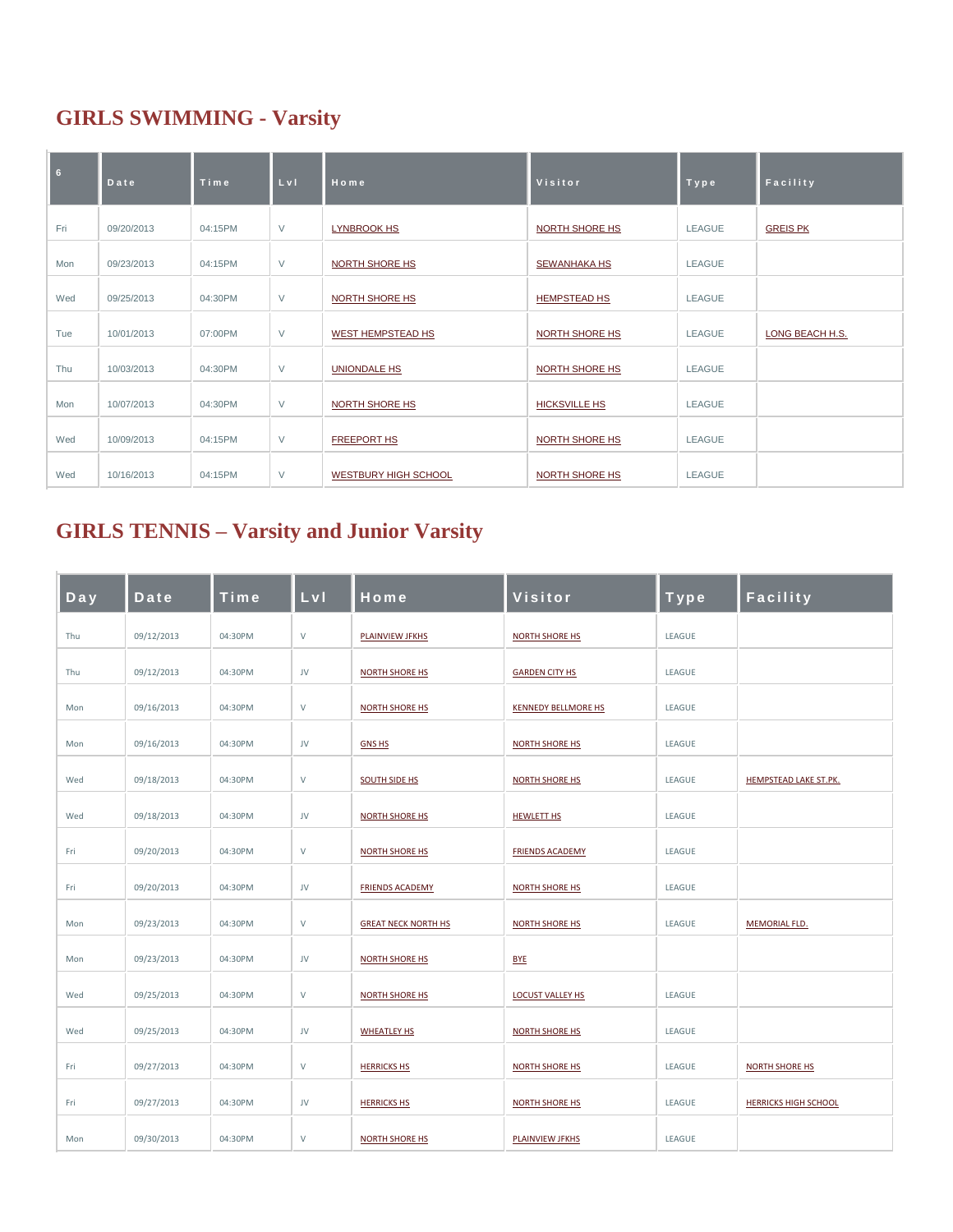# **GIRLS SWIMMING - Varsity**

| 6   | Date       | Time    | LvI.   | Home                        | Visitor               | Type   | Facility        |
|-----|------------|---------|--------|-----------------------------|-----------------------|--------|-----------------|
| Fri | 09/20/2013 | 04:15PM | $\vee$ | <b>LYNBROOK HS</b>          | <b>NORTH SHORE HS</b> | LEAGUE | <b>GREIS PK</b> |
| Mon | 09/23/2013 | 04:15PM | $\vee$ | <b>NORTH SHORE HS</b>       | <b>SEWANHAKA HS</b>   | LEAGUE |                 |
| Wed | 09/25/2013 | 04:30PM | $\vee$ | <b>NORTH SHORE HS</b>       | <b>HEMPSTEAD HS</b>   | LEAGUE |                 |
| Tue | 10/01/2013 | 07:00PM | $\vee$ | <b>WEST HEMPSTEAD HS</b>    | NORTH SHORE HS        | LEAGUE | LONG BEACH H.S. |
| Thu | 10/03/2013 | 04:30PM | $\vee$ | <b>UNIONDALE HS</b>         | <b>NORTH SHORE HS</b> | LEAGUE |                 |
| Mon | 10/07/2013 | 04:30PM | $\vee$ | NORTH SHORE HS              | <b>HICKSVILLE HS</b>  | LEAGUE |                 |
| Wed | 10/09/2013 | 04:15PM | $\vee$ | <b>FREEPORT HS</b>          | <b>NORTH SHORE HS</b> | LEAGUE |                 |
| Wed | 10/16/2013 | 04:15PM | $\vee$ | <b>WESTBURY HIGH SCHOOL</b> | <b>NORTH SHORE HS</b> | LEAGUE |                 |

## **GIRLS TENNIS – Varsity and Junior Varsity**

| Day | Date       | Time    | LvI | Home                       | Visitor                    | Type   | <b>Facility</b>              |
|-----|------------|---------|-----|----------------------------|----------------------------|--------|------------------------------|
| Thu | 09/12/2013 | 04:30PM | V   | <b>PLAINVIEW JFKHS</b>     | <b>NORTH SHORE HS</b>      | LEAGUE |                              |
| Thu | 09/12/2013 | 04:30PM | JV  | <b>NORTH SHORE HS</b>      | <b>GARDEN CITY HS</b>      | LEAGUE |                              |
| Mon | 09/16/2013 | 04:30PM | V   | <b>NORTH SHORE HS</b>      | <b>KENNEDY BELLMORE HS</b> | LEAGUE |                              |
| Mon | 09/16/2013 | 04:30PM | JV  | <b>GNS HS</b>              | <b>NORTH SHORE HS</b>      | LEAGUE |                              |
| Wed | 09/18/2013 | 04:30PM | V   | <b>SOUTH SIDE HS</b>       | <b>NORTH SHORE HS</b>      | LEAGUE | <b>HEMPSTEAD LAKE ST.PK.</b> |
| Wed | 09/18/2013 | 04:30PM | JV  | <b>NORTH SHORE HS</b>      | <b>HEWLETT HS</b>          | LEAGUE |                              |
| Fri | 09/20/2013 | 04:30PM | V   | <b>NORTH SHORE HS</b>      | <b>FRIENDS ACADEMY</b>     | LEAGUE |                              |
| Fri | 09/20/2013 | 04:30PM | JV  | <b>FRIENDS ACADEMY</b>     | <b>NORTH SHORE HS</b>      | LEAGUE |                              |
| Mon | 09/23/2013 | 04:30PM | V   | <b>GREAT NECK NORTH HS</b> | <b>NORTH SHORE HS</b>      | LEAGUE | <b>MEMORIAL FLD.</b>         |
|     |            |         |     |                            |                            |        |                              |
| Mon | 09/23/2013 | 04:30PM | JV  | <b>NORTH SHORE HS</b>      | <b>BYE</b>                 |        |                              |
| Wed | 09/25/2013 | 04:30PM | V   | <b>NORTH SHORE HS</b>      | <b>LOCUST VALLEY HS</b>    | LEAGUE |                              |
| Wed | 09/25/2013 | 04:30PM | JV  | <b>WHEATLEY HS</b>         | <b>NORTH SHORE HS</b>      | LEAGUE |                              |
| Fri | 09/27/2013 | 04:30PM | V   | <b>HERRICKS HS</b>         | <b>NORTH SHORE HS</b>      | LEAGUE | <b>NORTH SHORE HS</b>        |
| Fri | 09/27/2013 | 04:30PM | JV  | <b>HERRICKS HS</b>         | <b>NORTH SHORE HS</b>      | LEAGUE | <b>HERRICKS HIGH SCHOOL</b>  |
| Mon | 09/30/2013 | 04:30PM | V   | <b>NORTH SHORE HS</b>      | PLAINVIEW JFKHS            | LEAGUE |                              |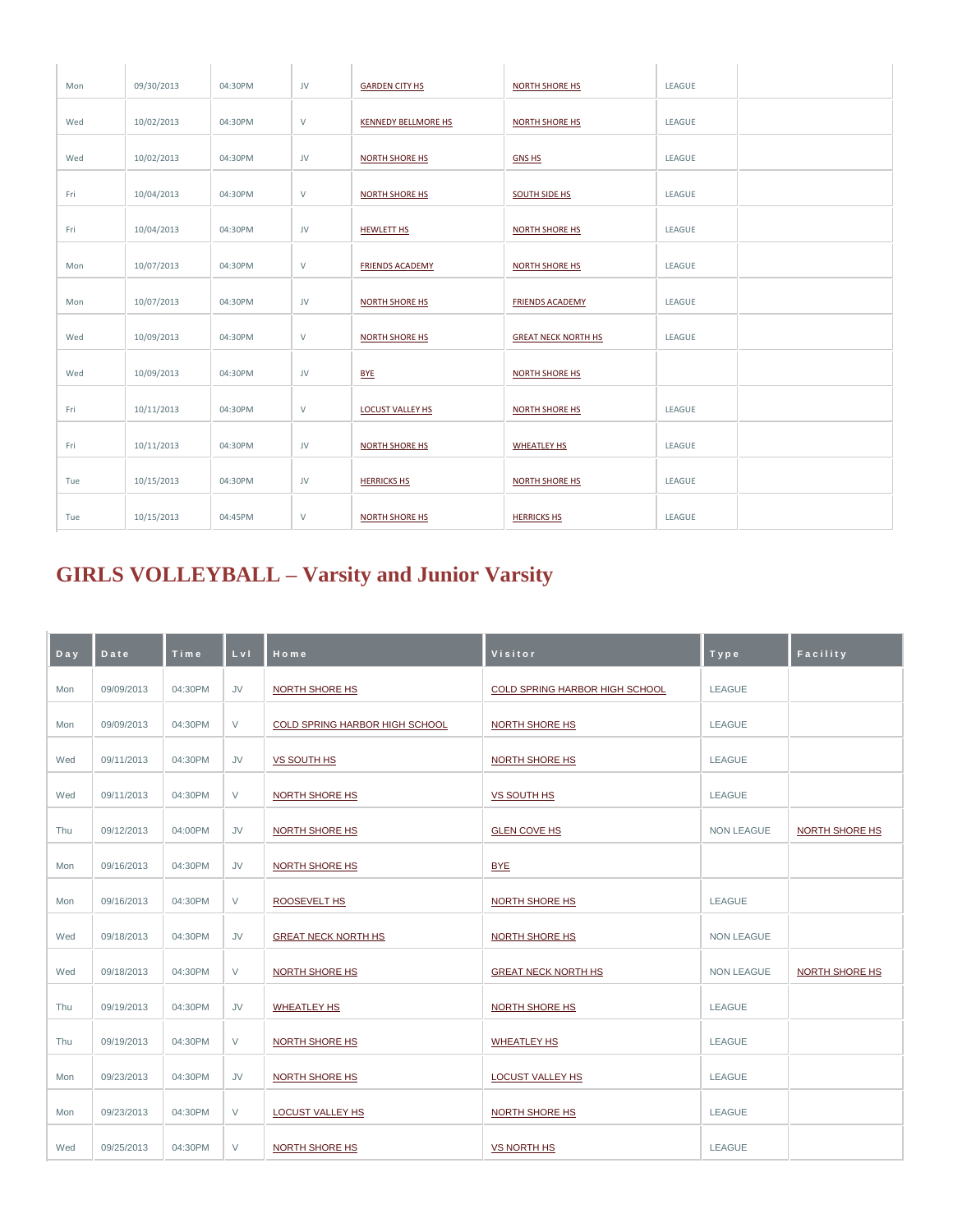| Mon | 09/30/2013 | 04:30PM | JV | <b>GARDEN CITY HS</b>      | <b>NORTH SHORE HS</b>      | LEAGUE |  |
|-----|------------|---------|----|----------------------------|----------------------------|--------|--|
| Wed | 10/02/2013 | 04:30PM | V  | <b>KENNEDY BELLMORE HS</b> | NORTH SHORE HS             | LEAGUE |  |
| Wed | 10/02/2013 | 04:30PM | JV | <b>NORTH SHORE HS</b>      | <b>GNS HS</b>              | LEAGUE |  |
| Fri | 10/04/2013 | 04:30PM | V  | <b>NORTH SHORE HS</b>      | SOUTH SIDE HS              | LEAGUE |  |
| Fri | 10/04/2013 | 04:30PM | JV | <b>HEWLETT HS</b>          | NORTH SHORE HS             | LEAGUE |  |
| Mon | 10/07/2013 | 04:30PM | V  | <b>FRIENDS ACADEMY</b>     | NORTH SHORE HS             | LEAGUE |  |
| Mon | 10/07/2013 | 04:30PM | JV | <b>NORTH SHORE HS</b>      | <b>FRIENDS ACADEMY</b>     | LEAGUE |  |
| Wed | 10/09/2013 | 04:30PM | V  | <b>NORTH SHORE HS</b>      | <b>GREAT NECK NORTH HS</b> | LEAGUE |  |
| Wed | 10/09/2013 | 04:30PM | JV | <b>BYE</b>                 | <b>NORTH SHORE HS</b>      |        |  |
| Fri | 10/11/2013 | 04:30PM | V  | LOCUST VALLEY HS           | NORTH SHORE HS             | LEAGUE |  |
| Fri | 10/11/2013 | 04:30PM | JV | <b>NORTH SHORE HS</b>      | <b>WHEATLEY HS</b>         | LEAGUE |  |
| Tue | 10/15/2013 | 04:30PM | JV | <b>HERRICKS HS</b>         | <b>NORTH SHORE HS</b>      | LEAGUE |  |
| Tue | 10/15/2013 | 04:45PM | V  | <b>NORTH SHORE HS</b>      | <b>HERRICKS HS</b>         | LEAGUE |  |
|     |            |         |    |                            |                            |        |  |

#### **GIRLS VOLLEYBALL – Varsity and Junior Varsity**

| Day | Date       | Time    | LvI       | Home                                  | Visitor                        | Type              | Facility              |
|-----|------------|---------|-----------|---------------------------------------|--------------------------------|-------------------|-----------------------|
| Mon | 09/09/2013 | 04:30PM | JV        | <b>NORTH SHORE HS</b>                 | COLD SPRING HARBOR HIGH SCHOOL | LEAGUE            |                       |
| Mon | 09/09/2013 | 04:30PM | V         | <b>COLD SPRING HARBOR HIGH SCHOOL</b> | <b>NORTH SHORE HS</b>          | LEAGUE            |                       |
| Wed | 09/11/2013 | 04:30PM | <b>JV</b> | <b>VS SOUTH HS</b>                    | <b>NORTH SHORE HS</b>          | LEAGUE            |                       |
| Wed | 09/11/2013 | 04:30PM | V         | NORTH SHORE HS                        | VS SOUTH HS                    | LEAGUE            |                       |
| Thu | 09/12/2013 | 04:00PM | JV        | <b>NORTH SHORE HS</b>                 | <b>GLEN COVE HS</b>            | <b>NON LEAGUE</b> | <b>NORTH SHORE HS</b> |
| Mon | 09/16/2013 | 04:30PM | JV        | <b>NORTH SHORE HS</b>                 | <b>BYE</b>                     |                   |                       |
| Mon | 09/16/2013 | 04:30PM | V         | <b>ROOSEVELT HS</b>                   | <b>NORTH SHORE HS</b>          | LEAGUE            |                       |
| Wed | 09/18/2013 | 04:30PM | JV        | <b>GREAT NECK NORTH HS</b>            | NORTH SHORE HS                 | <b>NON LEAGUE</b> |                       |
| Wed | 09/18/2013 | 04:30PM | V         | <b>NORTH SHORE HS</b>                 | <b>GREAT NECK NORTH HS</b>     | <b>NON LEAGUE</b> | <b>NORTH SHORE HS</b> |
| Thu | 09/19/2013 | 04:30PM | JV        | <b>WHEATLEY HS</b>                    | <b>NORTH SHORE HS</b>          | LEAGUE            |                       |
| Thu | 09/19/2013 | 04:30PM | V         | <b>NORTH SHORE HS</b>                 | <b>WHEATLEY HS</b>             | LEAGUE            |                       |
| Mon | 09/23/2013 | 04:30PM | JV        | <b>NORTH SHORE HS</b>                 | <b>LOCUST VALLEY HS</b>        | LEAGUE            |                       |
| Mon | 09/23/2013 | 04:30PM | V         | <b>LOCUST VALLEY HS</b>               | <b>NORTH SHORE HS</b>          | LEAGUE            |                       |
| Wed | 09/25/2013 | 04:30PM | V         | <b>NORTH SHORE HS</b>                 | <b>VS NORTH HS</b>             | LEAGUE            |                       |